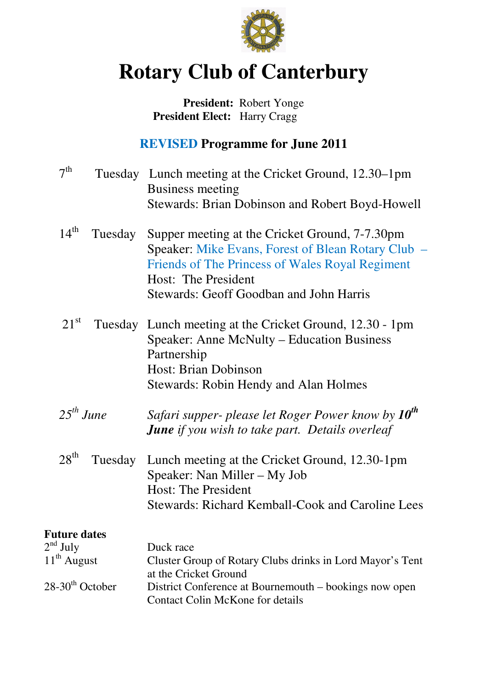

# **Rotary Club of Canterbury**

## **President:** Robert Yonge  **President Elect:** Harry Cragg

# **REVISED Programme for June 2011**

| 7 <sup>th</sup>             | Tuesday Lunch meeting at the Cricket Ground, 12.30–1pm<br>Business meeting<br>Stewards: Brian Dobinson and Robert Boyd-Howell                                                                                             |
|-----------------------------|---------------------------------------------------------------------------------------------------------------------------------------------------------------------------------------------------------------------------|
| $14^{\text{th}}$<br>Tuesday | Supper meeting at the Cricket Ground, 7-7.30pm<br>Speaker: Mike Evans, Forest of Blean Rotary Club -<br>Friends of The Princess of Wales Royal Regiment<br>Host: The President<br>Stewards: Geoff Goodban and John Harris |
| $21^{\rm st}$<br>Tuesday    | Lunch meeting at the Cricket Ground, 12.30 - 1pm<br>Speaker: Anne McNulty – Education Business<br>Partnership<br>Host: Brian Dobinson<br><b>Stewards: Robin Hendy and Alan Holmes</b>                                     |
| $25^{th}$ June              | Safari supper- please let Roger Power know by 10 <sup>th</sup><br><b>June</b> if you wish to take part. Details overleaf                                                                                                  |
| $28^{\text{th}}$<br>Tuesday | Lunch meeting at the Cricket Ground, 12.30-1pm<br>Speaker: Nan Miller – My Job<br><b>Host: The President</b><br><b>Stewards: Richard Kemball-Cook and Caroline Lees</b>                                                   |
| <b>Future dates</b>         |                                                                                                                                                                                                                           |
| $2nd$ July                  | Duck race                                                                                                                                                                                                                 |
| $11th$ August               | Cluster Group of Rotary Clubs drinks in Lord Mayor's Tent<br>at the Cricket Ground                                                                                                                                        |
| $28-30th$ October           | District Conference at Bournemouth – bookings now open<br><b>Contact Colin McKone for details</b>                                                                                                                         |